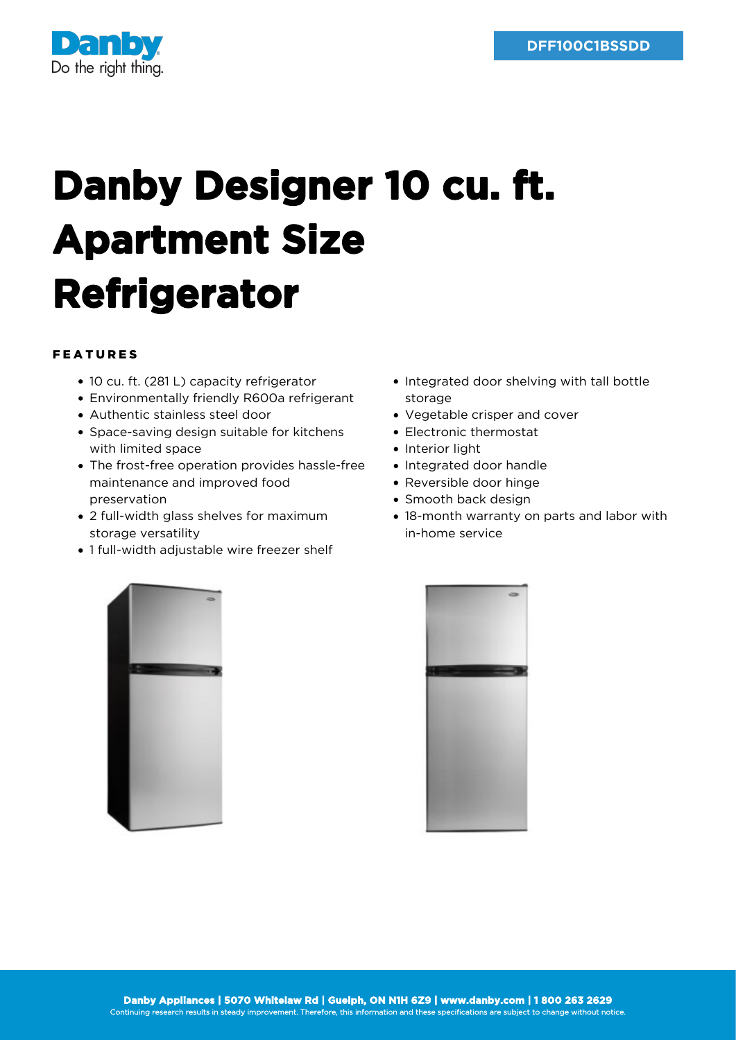

## **Danby Designer 10 cu. ft. Apartment Size Refrigerator**

## FEATURES

- 10 cu. ft. (281 L) capacity refrigerator
- Environmentally friendly R600a refrigerant
- Authentic stainless steel door
- Space-saving design suitable for kitchens with limited space
- The frost-free operation provides hassle-free maintenance and improved food preservation
- 2 full-width glass shelves for maximum storage versatility
- 1 full-width adjustable wire freezer shelf
- Integrated door shelving with tall bottle storage
- Vegetable crisper and cover
- Electronic thermostat
- Interior light
- Integrated door handle
- Reversible door hinge
- Smooth back design
- 18-month warranty on parts and labor with in-home service